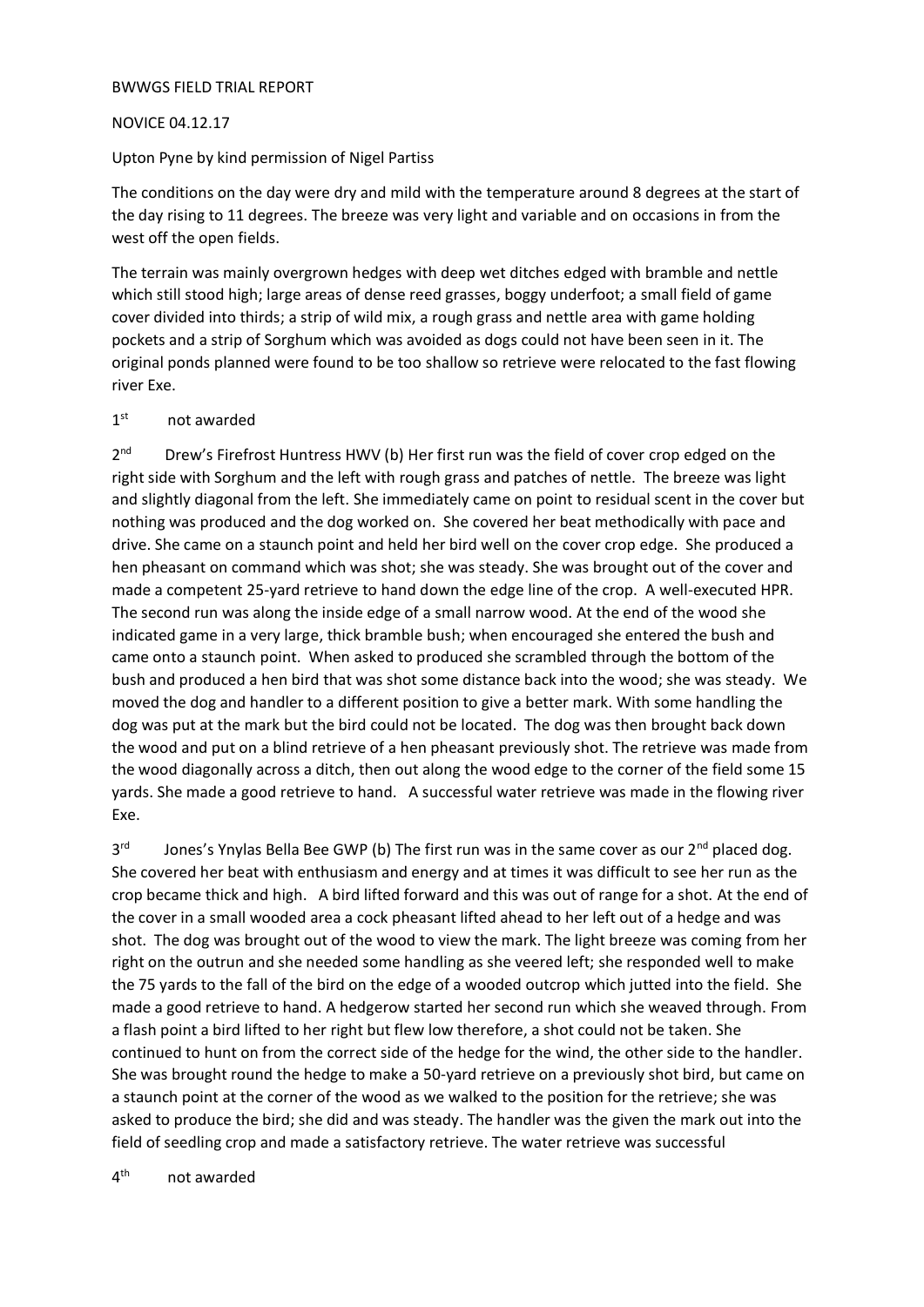## BWWGS FIELD TRIAL REPORT

## NOVICE 04.12.17

Upton Pyne by kind permission of Nigel Partiss

The conditions on the day were dry and mild with the temperature around 8 degrees at the start of the day rising to 11 degrees. The breeze was very light and variable and on occasions in from the west off the open fields.

The terrain was mainly overgrown hedges with deep wet ditches edged with bramble and nettle which still stood high; large areas of dense reed grasses, boggy underfoot; a small field of game cover divided into thirds; a strip of wild mix, a rough grass and nettle area with game holding pockets and a strip of Sorghum which was avoided as dogs could not have been seen in it. The original ponds planned were found to be too shallow so retrieve were relocated to the fast flowing river Exe.

## $1<sup>st</sup>$ not awarded

2 nd Drew's Firefrost Huntress HWV (b) Her first run was the field of cover crop edged on the right side with Sorghum and the left with rough grass and patches of nettle. The breeze was light and slightly diagonal from the left. She immediately came on point to residual scent in the cover but nothing was produced and the dog worked on. She covered her beat methodically with pace and drive. She came on a staunch point and held her bird well on the cover crop edge. She produced a hen pheasant on command which was shot; she was steady. She was brought out of the cover and made a competent 25-yard retrieve to hand down the edge line of the crop. A well-executed HPR. The second run was along the inside edge of a small narrow wood. At the end of the wood she indicated game in a very large, thick bramble bush; when encouraged she entered the bush and came onto a staunch point. When asked to produced she scrambled through the bottom of the bush and produced a hen bird that was shot some distance back into the wood; she was steady. We moved the dog and handler to a different position to give a better mark. With some handling the dog was put at the mark but the bird could not be located. The dog was then brought back down the wood and put on a blind retrieve of a hen pheasant previously shot. The retrieve was made from the wood diagonally across a ditch, then out along the wood edge to the corner of the field some 15 yards. She made a good retrieve to hand. A successful water retrieve was made in the flowing river Exe.

3 rd Jones's Ynylas Bella Bee GWP (b) The first run was in the same cover as our  $2^{nd}$  placed dog. She covered her beat with enthusiasm and energy and at times it was difficult to see her run as the crop became thick and high. A bird lifted forward and this was out of range for a shot. At the end of the cover in a small wooded area a cock pheasant lifted ahead to her left out of a hedge and was shot. The dog was brought out of the wood to view the mark. The light breeze was coming from her right on the outrun and she needed some handling as she veered left; she responded well to make the 75 yards to the fall of the bird on the edge of a wooded outcrop which jutted into the field. She made a good retrieve to hand. A hedgerow started her second run which she weaved through. From a flash point a bird lifted to her right but flew low therefore, a shot could not be taken. She continued to hunt on from the correct side of the hedge for the wind, the other side to the handler. She was brought round the hedge to make a 50-yard retrieve on a previously shot bird, but came on a staunch point at the corner of the wood as we walked to the position for the retrieve; she was asked to produce the bird; she did and was steady. The handler was the given the mark out into the field of seedling crop and made a satisfactory retrieve. The water retrieve was successful

 $4<sup>th</sup>$ not awarded